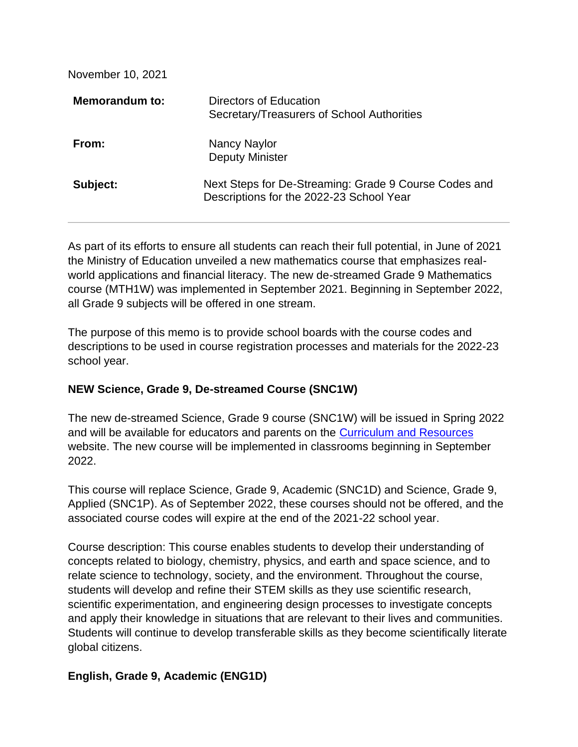November 10, 2021

| <b>Memorandum to:</b> | Directors of Education<br>Secretary/Treasurers of School Authorities                              |
|-----------------------|---------------------------------------------------------------------------------------------------|
| From:                 | Nancy Naylor<br><b>Deputy Minister</b>                                                            |
| Subject:              | Next Steps for De-Streaming: Grade 9 Course Codes and<br>Descriptions for the 2022-23 School Year |

As part of its efforts to ensure all students can reach their full potential, in June of 2021 the Ministry of Education unveiled a new mathematics course that emphasizes realworld applications and financial literacy. The new de-streamed Grade 9 Mathematics course (MTH1W) was implemented in September 2021. Beginning in September 2022, all Grade 9 subjects will be offered in one stream.

The purpose of this memo is to provide school boards with the course codes and descriptions to be used in course registration processes and materials for the 2022-23 school year.

#### **NEW Science, Grade 9, De-streamed Course (SNC1W)**

The new de-streamed Science, Grade 9 course (SNC1W) will be issued in Spring 2022 and will be available for educators and parents on the [Curriculum and Resources](https://protect-us.mimecast.com/s/BZ44Cn5z5RCnYQS9QaU9?domain=dcp.edu.gov.on.ca/) website. The new course will be implemented in classrooms beginning in September 2022.

This course will replace Science, Grade 9, Academic (SNC1D) and Science, Grade 9, Applied (SNC1P). As of September 2022, these courses should not be offered, and the associated course codes will expire at the end of the 2021-22 school year.

Course description: This course enables students to develop their understanding of concepts related to biology, chemistry, physics, and earth and space science, and to relate science to technology, society, and the environment. Throughout the course, students will develop and refine their STEM skills as they use scientific research, scientific experimentation, and engineering design processes to investigate concepts and apply their knowledge in situations that are relevant to their lives and communities. Students will continue to develop transferable skills as they become scientifically literate global citizens.

## **English, Grade 9, Academic (ENG1D)**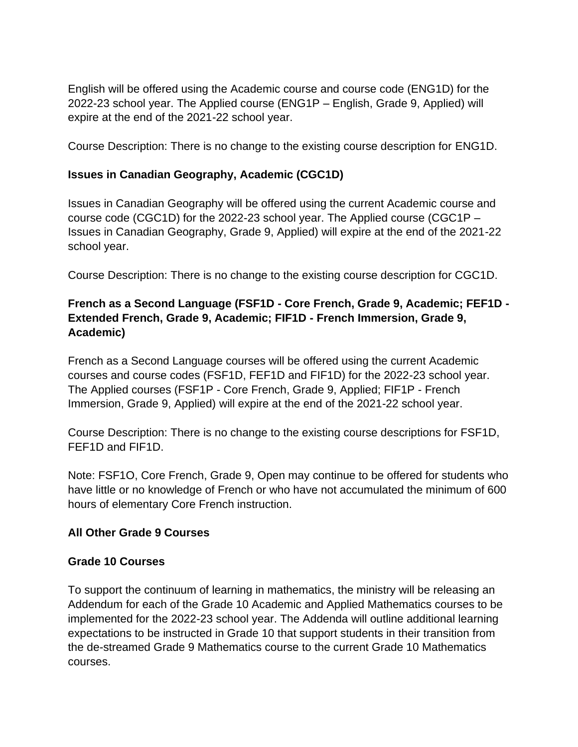English will be offered using the Academic course and course code (ENG1D) for the 2022-23 school year. The Applied course (ENG1P – English, Grade 9, Applied) will expire at the end of the 2021-22 school year.

Course Description: There is no change to the existing course description for ENG1D.

## **Issues in Canadian Geography, Academic (CGC1D)**

Issues in Canadian Geography will be offered using the current Academic course and course code (CGC1D) for the 2022-23 school year. The Applied course (CGC1P – Issues in Canadian Geography, Grade 9, Applied) will expire at the end of the 2021-22 school year.

Course Description: There is no change to the existing course description for CGC1D.

# **French as a Second Language (FSF1D - Core French, Grade 9, Academic; FEF1D - Extended French, Grade 9, Academic; FIF1D - French Immersion, Grade 9, Academic)**

French as a Second Language courses will be offered using the current Academic courses and course codes (FSF1D, FEF1D and FIF1D) for the 2022-23 school year. The Applied courses (FSF1P - Core French, Grade 9, Applied; FIF1P - French Immersion, Grade 9, Applied) will expire at the end of the 2021-22 school year.

Course Description: There is no change to the existing course descriptions for FSF1D, FEF1D and FIF1D.

Note: FSF1O, Core French, Grade 9, Open may continue to be offered for students who have little or no knowledge of French or who have not accumulated the minimum of 600 hours of elementary Core French instruction.

## **All Other Grade 9 Courses**

## **Grade 10 Courses**

To support the continuum of learning in mathematics, the ministry will be releasing an Addendum for each of the Grade 10 Academic and Applied Mathematics courses to be implemented for the 2022-23 school year. The Addenda will outline additional learning expectations to be instructed in Grade 10 that support students in their transition from the de-streamed Grade 9 Mathematics course to the current Grade 10 Mathematics courses.